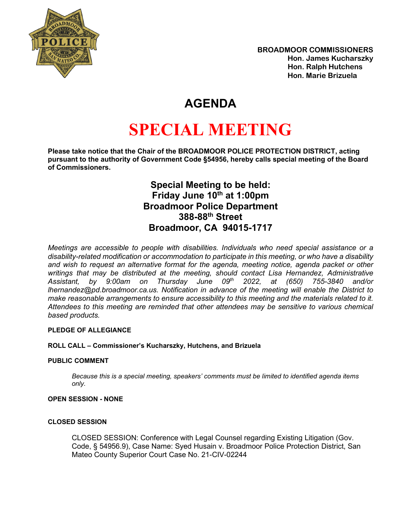

## **AGENDA**

# **SPECIAL MEETING**

**Please take notice that the Chair of the BROADMOOR POLICE PROTECTION DISTRICT, acting pursuant to the authority of Government Code §54956, hereby calls special meeting of the Board of Commissioners.**

> **Special Meeting to be held: Friday June 10<sup>th</sup> at 1:00pm Broadmoor Police Department 388-88th Street Broadmoor, CA 94015-1717**

*Meetings are accessible to people with disabilities. Individuals who need special assistance or a disability-related modification or accommodation to participate in this meeting, or who have a disability and wish to request an alternative format for the agenda, meeting notice, agenda packet or other writings that may be distributed at the meeting, should contact Lisa Hernandez, Administrative Assistant, by 9:00am on Thursday June 09th 2022, at (650) 755-3840 and/or lhernandez@pd.broadmoor.ca.us. Notification in advance of the meeting will enable the District to make reasonable arrangements to ensure accessibility to this meeting and the materials related to it. Attendees to this meeting are reminded that other attendees may be sensitive to various chemical based products.*

#### **PLEDGE OF ALLEGIANCE**

#### **ROLL CALL – Commissioner's Kucharszky, Hutchens, and Brizuela**

#### **PUBLIC COMMENT**

*Because this is a special meeting, speakers' comments must be limited to identified agenda items only.*

#### **OPEN SESSION - NONE**

#### **CLOSED SESSION**

CLOSED SESSION: Conference with Legal Counsel regarding Existing Litigation (Gov. Code, § 54956.9), Case Name: Syed Husain v. Broadmoor Police Protection District, San Mateo County Superior Court Case No. 21-CIV-02244